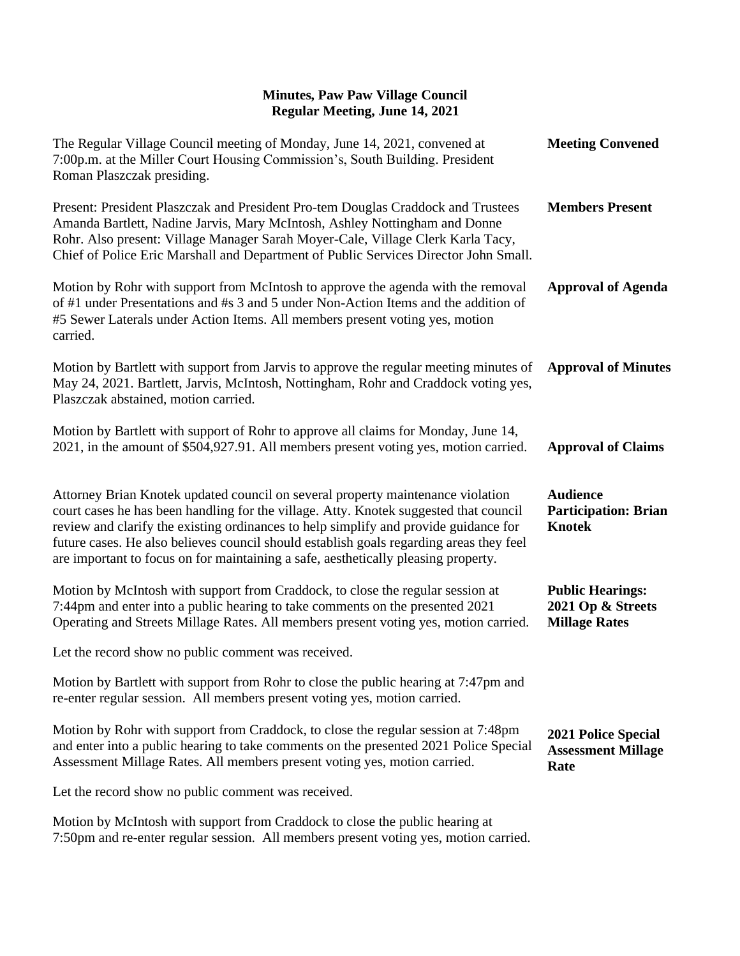| The Regular Village Council meeting of Monday, June 14, 2021, convened at<br>7:00p.m. at the Miller Court Housing Commission's, South Building. President<br>Roman Plaszczak presiding.                                                                                                                                                                                                                                                           | <b>Meeting Convened</b>                                              |
|---------------------------------------------------------------------------------------------------------------------------------------------------------------------------------------------------------------------------------------------------------------------------------------------------------------------------------------------------------------------------------------------------------------------------------------------------|----------------------------------------------------------------------|
| Present: President Plaszczak and President Pro-tem Douglas Craddock and Trustees<br>Amanda Bartlett, Nadine Jarvis, Mary McIntosh, Ashley Nottingham and Donne<br>Rohr. Also present: Village Manager Sarah Moyer-Cale, Village Clerk Karla Tacy,<br>Chief of Police Eric Marshall and Department of Public Services Director John Small.                                                                                                         | <b>Members Present</b>                                               |
| Motion by Rohr with support from McIntosh to approve the agenda with the removal<br>of #1 under Presentations and #s 3 and 5 under Non-Action Items and the addition of<br>#5 Sewer Laterals under Action Items. All members present voting yes, motion<br>carried.                                                                                                                                                                               | <b>Approval of Agenda</b>                                            |
| Motion by Bartlett with support from Jarvis to approve the regular meeting minutes of<br>May 24, 2021. Bartlett, Jarvis, McIntosh, Nottingham, Rohr and Craddock voting yes,<br>Plaszczak abstained, motion carried.                                                                                                                                                                                                                              | <b>Approval of Minutes</b>                                           |
| Motion by Bartlett with support of Rohr to approve all claims for Monday, June 14,<br>2021, in the amount of \$504,927.91. All members present voting yes, motion carried.                                                                                                                                                                                                                                                                        | <b>Approval of Claims</b>                                            |
| Attorney Brian Knotek updated council on several property maintenance violation<br>court cases he has been handling for the village. Atty. Knotek suggested that council<br>review and clarify the existing ordinances to help simplify and provide guidance for<br>future cases. He also believes council should establish goals regarding areas they feel<br>are important to focus on for maintaining a safe, aesthetically pleasing property. | <b>Audience</b><br><b>Participation: Brian</b><br><b>Knotek</b>      |
| Motion by McIntosh with support from Craddock, to close the regular session at<br>7:44pm and enter into a public hearing to take comments on the presented 2021<br>Operating and Streets Millage Rates. All members present voting yes, motion carried.                                                                                                                                                                                           | <b>Public Hearings:</b><br>2021 Op & Streets<br><b>Millage Rates</b> |
| Let the record show no public comment was received.                                                                                                                                                                                                                                                                                                                                                                                               |                                                                      |
| Motion by Bartlett with support from Rohr to close the public hearing at 7:47pm and<br>re-enter regular session. All members present voting yes, motion carried.                                                                                                                                                                                                                                                                                  |                                                                      |
| Motion by Rohr with support from Craddock, to close the regular session at 7:48pm<br>and enter into a public hearing to take comments on the presented 2021 Police Special<br>Assessment Millage Rates. All members present voting yes, motion carried.                                                                                                                                                                                           | 2021 Police Special<br><b>Assessment Millage</b><br>Rate             |
| Let the record show no public comment was received.                                                                                                                                                                                                                                                                                                                                                                                               |                                                                      |
| Motion by McIntosh with support from Craddock to close the public hearing at                                                                                                                                                                                                                                                                                                                                                                      |                                                                      |

7:50pm and re-enter regular session. All members present voting yes, motion carried.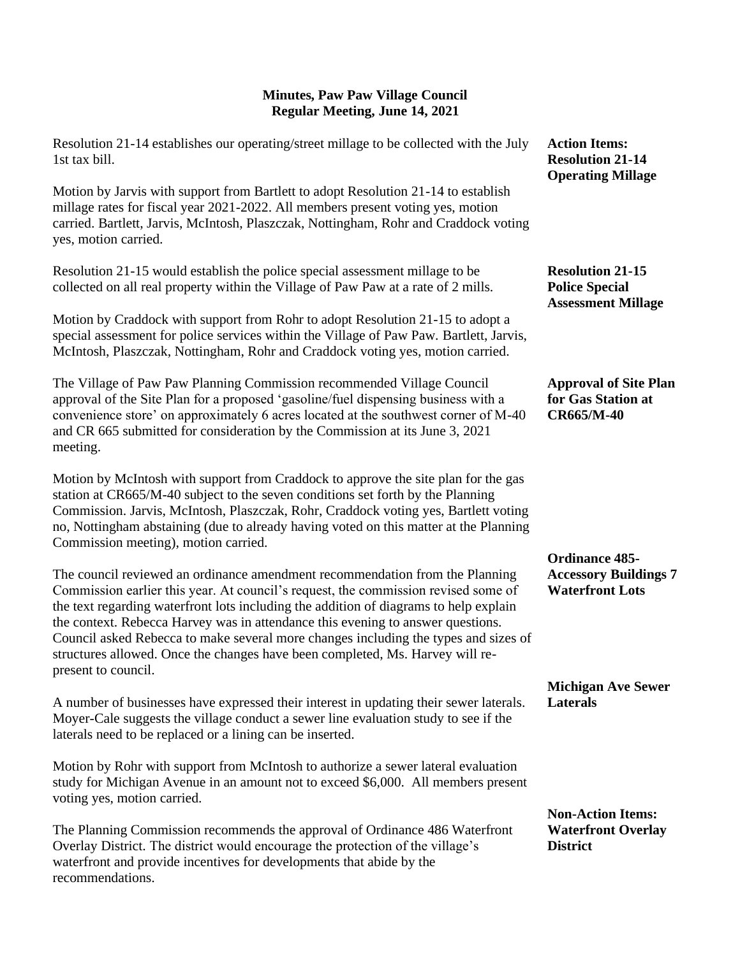| Resolution 21-14 establishes our operating/street millage to be collected with the July<br>1st tax bill.                                                                                                                                                                                                                                                                                                                                                                                                                                      | <b>Action Items:</b><br><b>Resolution 21-14</b><br><b>Operating Millage</b>   |
|-----------------------------------------------------------------------------------------------------------------------------------------------------------------------------------------------------------------------------------------------------------------------------------------------------------------------------------------------------------------------------------------------------------------------------------------------------------------------------------------------------------------------------------------------|-------------------------------------------------------------------------------|
| Motion by Jarvis with support from Bartlett to adopt Resolution 21-14 to establish<br>millage rates for fiscal year 2021-2022. All members present voting yes, motion<br>carried. Bartlett, Jarvis, McIntosh, Plaszczak, Nottingham, Rohr and Craddock voting<br>yes, motion carried.                                                                                                                                                                                                                                                         |                                                                               |
| Resolution 21-15 would establish the police special assessment millage to be<br>collected on all real property within the Village of Paw Paw at a rate of 2 mills.                                                                                                                                                                                                                                                                                                                                                                            | <b>Resolution 21-15</b><br><b>Police Special</b><br><b>Assessment Millage</b> |
| Motion by Craddock with support from Rohr to adopt Resolution 21-15 to adopt a<br>special assessment for police services within the Village of Paw Paw. Bartlett, Jarvis,<br>McIntosh, Plaszczak, Nottingham, Rohr and Craddock voting yes, motion carried.                                                                                                                                                                                                                                                                                   |                                                                               |
| The Village of Paw Paw Planning Commission recommended Village Council<br>approval of the Site Plan for a proposed 'gasoline/fuel dispensing business with a<br>convenience store' on approximately 6 acres located at the southwest corner of M-40<br>and CR 665 submitted for consideration by the Commission at its June 3, 2021<br>meeting.                                                                                                                                                                                               | <b>Approval of Site Plan</b><br>for Gas Station at<br><b>CR665/M-40</b>       |
| Motion by McIntosh with support from Craddock to approve the site plan for the gas<br>station at CR665/M-40 subject to the seven conditions set forth by the Planning<br>Commission. Jarvis, McIntosh, Plaszczak, Rohr, Craddock voting yes, Bartlett voting<br>no, Nottingham abstaining (due to already having voted on this matter at the Planning<br>Commission meeting), motion carried.                                                                                                                                                 | <b>Ordinance 485-</b>                                                         |
| The council reviewed an ordinance amendment recommendation from the Planning<br>Commission earlier this year. At council's request, the commission revised some of<br>the text regarding waterfront lots including the addition of diagrams to help explain<br>the context. Rebecca Harvey was in attendance this evening to answer questions.<br>Council asked Rebecca to make several more changes including the types and sizes of<br>structures allowed. Once the changes have been completed, Ms. Harvey will re-<br>present to council. | <b>Accessory Buildings 7</b><br><b>Waterfront Lots</b>                        |
| A number of businesses have expressed their interest in updating their sewer laterals.<br>Moyer-Cale suggests the village conduct a sewer line evaluation study to see if the                                                                                                                                                                                                                                                                                                                                                                 | <b>Michigan Ave Sewer</b><br><b>Laterals</b>                                  |

Motion by Rohr with support from McIntosh to authorize a sewer lateral evaluation study for Michigan Avenue in an amount not to exceed \$6,000. All members present voting yes, motion carried.

laterals need to be replaced or a lining can be inserted.

The Planning Commission recommends the approval of Ordinance 486 Waterfront Overlay District. The district would encourage the protection of the village's waterfront and provide incentives for developments that abide by the recommendations.

## **Non-Action Items: Waterfront Overlay District**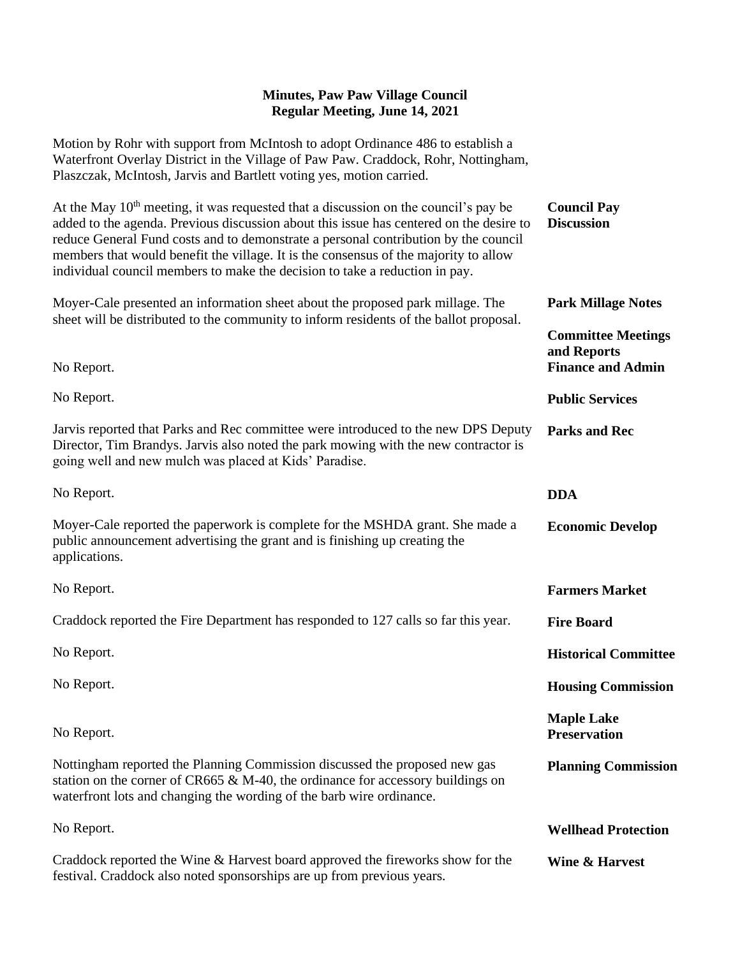Motion by Rohr with support from McIntosh to adopt Ordinance 486 to establish a Waterfront Overlay District in the Village of Paw Paw. Craddock, Rohr, Nottingham, Plaszczak, McIntosh, Jarvis and Bartlett voting yes, motion carried.

| At the May $10th$ meeting, it was requested that a discussion on the council's pay be<br>added to the agenda. Previous discussion about this issue has centered on the desire to<br>reduce General Fund costs and to demonstrate a personal contribution by the council<br>members that would benefit the village. It is the consensus of the majority to allow<br>individual council members to make the decision to take a reduction in pay. | <b>Council Pay</b><br><b>Discussion</b>                              |
|------------------------------------------------------------------------------------------------------------------------------------------------------------------------------------------------------------------------------------------------------------------------------------------------------------------------------------------------------------------------------------------------------------------------------------------------|----------------------------------------------------------------------|
| Moyer-Cale presented an information sheet about the proposed park millage. The                                                                                                                                                                                                                                                                                                                                                                 | <b>Park Millage Notes</b>                                            |
| sheet will be distributed to the community to inform residents of the ballot proposal.<br>No Report.                                                                                                                                                                                                                                                                                                                                           | <b>Committee Meetings</b><br>and Reports<br><b>Finance and Admin</b> |
| No Report.                                                                                                                                                                                                                                                                                                                                                                                                                                     | <b>Public Services</b>                                               |
| Jarvis reported that Parks and Rec committee were introduced to the new DPS Deputy<br>Director, Tim Brandys. Jarvis also noted the park mowing with the new contractor is<br>going well and new mulch was placed at Kids' Paradise.                                                                                                                                                                                                            | <b>Parks and Rec</b>                                                 |
| No Report.                                                                                                                                                                                                                                                                                                                                                                                                                                     | <b>DDA</b>                                                           |
| Moyer-Cale reported the paperwork is complete for the MSHDA grant. She made a<br>public announcement advertising the grant and is finishing up creating the<br>applications.                                                                                                                                                                                                                                                                   | <b>Economic Develop</b>                                              |
| No Report.                                                                                                                                                                                                                                                                                                                                                                                                                                     | <b>Farmers Market</b>                                                |
| Craddock reported the Fire Department has responded to 127 calls so far this year.                                                                                                                                                                                                                                                                                                                                                             | <b>Fire Board</b>                                                    |
| No Report.                                                                                                                                                                                                                                                                                                                                                                                                                                     | <b>Historical Committee</b>                                          |
| No Report.                                                                                                                                                                                                                                                                                                                                                                                                                                     | <b>Housing Commission</b>                                            |
| No Report.                                                                                                                                                                                                                                                                                                                                                                                                                                     | <b>Maple Lake</b><br><b>Preservation</b>                             |
| Nottingham reported the Planning Commission discussed the proposed new gas<br>station on the corner of CR665 & M-40, the ordinance for accessory buildings on<br>waterfront lots and changing the wording of the barb wire ordinance.                                                                                                                                                                                                          | <b>Planning Commission</b>                                           |
| No Report.                                                                                                                                                                                                                                                                                                                                                                                                                                     | <b>Wellhead Protection</b>                                           |
| Craddock reported the Wine & Harvest board approved the fireworks show for the<br>festival. Craddock also noted sponsorships are up from previous years.                                                                                                                                                                                                                                                                                       | <b>Wine &amp; Harvest</b>                                            |